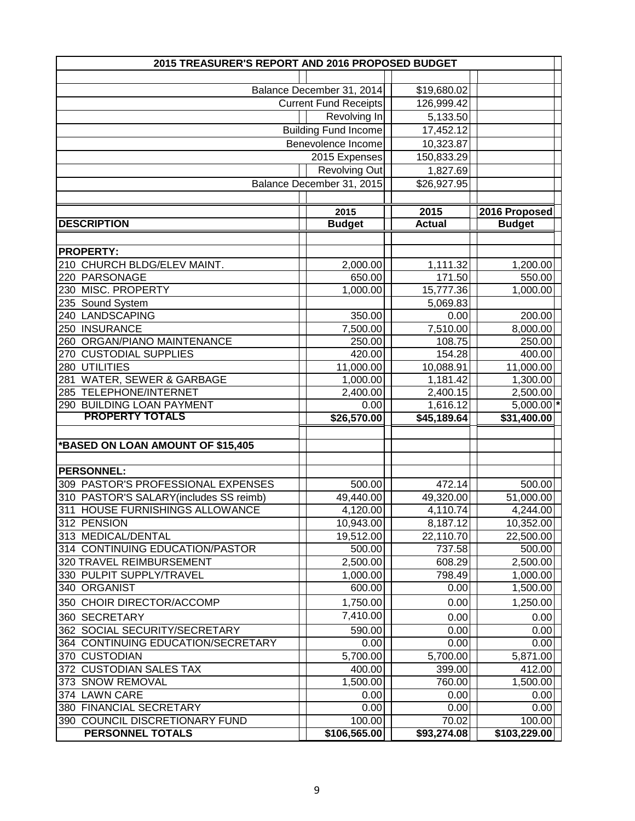| 2015 TREASURER'S REPORT AND 2016 PROPOSED BUDGET |                              |               |               |  |  |
|--------------------------------------------------|------------------------------|---------------|---------------|--|--|
|                                                  |                              |               |               |  |  |
| Balance December 31, 2014                        |                              | \$19,680.02   |               |  |  |
|                                                  | <b>Current Fund Receipts</b> | 126,999.42    |               |  |  |
|                                                  | Revolving In                 | 5,133.50      |               |  |  |
|                                                  | <b>Building Fund Income</b>  | 17,452.12     |               |  |  |
|                                                  | Benevolence Income           | 10,323.87     |               |  |  |
|                                                  | 2015 Expenses                | 150,833.29    |               |  |  |
|                                                  | <b>Revolving Out</b>         | 1,827.69      |               |  |  |
|                                                  | Balance December 31, 2015    | \$26,927.95   |               |  |  |
|                                                  |                              |               |               |  |  |
|                                                  | 2015                         | 2015          | 2016 Proposed |  |  |
| <b>DESCRIPTION</b>                               | <b>Budget</b>                | <b>Actual</b> | <b>Budget</b> |  |  |
|                                                  |                              |               |               |  |  |
| <b>PROPERTY:</b>                                 |                              |               |               |  |  |
| 210 CHURCH BLDG/ELEV MAINT.                      | 2,000.00                     | 1,111.32      | 1,200.00      |  |  |
| 220 PARSONAGE                                    | 650.00                       | 171.50        | 550.00        |  |  |
| 230 MISC. PROPERTY                               | 1,000.00                     | 15,777.36     | 1,000.00      |  |  |
| 235 Sound System                                 |                              | 5,069.83      |               |  |  |
| 240 LANDSCAPING                                  | 350.00                       | 0.00          | 200.00        |  |  |
| 250 INSURANCE                                    | 7,500.00                     | 7,510.00      | 8,000.00      |  |  |
| 260 ORGAN/PIANO MAINTENANCE                      | 250.00                       | 108.75        | 250.00        |  |  |
| 270 CUSTODIAL SUPPLIES                           | 420.00                       | 154.28        | 400.00        |  |  |
| 280 UTILITIES                                    | 11,000.00                    | 10,088.91     | 11,000.00     |  |  |
| 281 WATER, SEWER & GARBAGE                       | 1,000.00                     | 1,181.42      | 1,300.00      |  |  |
| 285 TELEPHONE/INTERNET                           | 2,400.00                     | 2,400.15      | 2,500.00      |  |  |
| 290 BUILDING LOAN PAYMENT                        | 0.00                         | 1,616.12      | 5,000.00 *    |  |  |
| <b>PROPERTY TOTALS</b>                           | \$26,570.00                  | \$45,189.64   | \$31,400.00   |  |  |
|                                                  |                              |               |               |  |  |
| *BASED ON LOAN AMOUNT OF \$15,405                |                              |               |               |  |  |
|                                                  |                              |               |               |  |  |
| <b>PERSONNEL:</b>                                |                              |               |               |  |  |
| 309 PASTOR'S PROFESSIONAL EXPENSES               | 500.00                       | 472.14        | 500.00        |  |  |
| 310 PASTOR'S SALARY(includes SS reimb)           | 49,440.00                    | 49,320.00     | 51,000.00     |  |  |
| 311 HOUSE FURNISHINGS ALLOWANCE                  | 4,120.00                     | 4,110.74      | 4,244.00      |  |  |
| 312 PENSION                                      | 10,943.00                    | 8,187.12      | 10,352.00     |  |  |
| 313 MEDICAL/DENTAL                               | 19,512.00                    | 22,110.70     | 22,500.00     |  |  |
| 314 CONTINUING EDUCATION/PASTOR                  | 500.00                       | 737.58        | 500.00        |  |  |
| 320 TRAVEL REIMBURSEMENT                         | 2,500.00                     | 608.29        | 2,500.00      |  |  |
| 330 PULPIT SUPPLY/TRAVEL                         | 1,000.00                     | 798.49        | 1,000.00      |  |  |
| 340 ORGANIST                                     | 600.00                       | 0.00          | 1,500.00      |  |  |
| 350 CHOIR DIRECTOR/ACCOMP                        | 1,750.00                     | 0.00          | 1,250.00      |  |  |
| 360 SECRETARY                                    | 7,410.00                     | 0.00          | 0.00          |  |  |
| 362 SOCIAL SECURITY/SECRETARY                    | 590.00                       | 0.00          | 0.00          |  |  |
| 364 CONTINUING EDUCATION/SECRETARY               | 0.00                         | 0.00          | 0.00          |  |  |
| 370 CUSTODIAN                                    | 5,700.00                     | 5,700.00      | 5,871.00      |  |  |
| 372 CUSTODIAN SALES TAX                          | 400.00                       | 399.00        | 412.00        |  |  |
| 373 SNOW REMOVAL                                 | 1,500.00                     | 760.00        | 1,500.00      |  |  |
| 374 LAWN CARE                                    | 0.00                         | 0.00          | 0.00          |  |  |
| 380 FINANCIAL SECRETARY                          | 0.00                         | 0.00          | 0.00          |  |  |
| 390 COUNCIL DISCRETIONARY FUND                   | 100.00                       | 70.02         | 100.00        |  |  |
| PERSONNEL TOTALS                                 | \$106,565.00                 | \$93,274.08   | \$103,229.00  |  |  |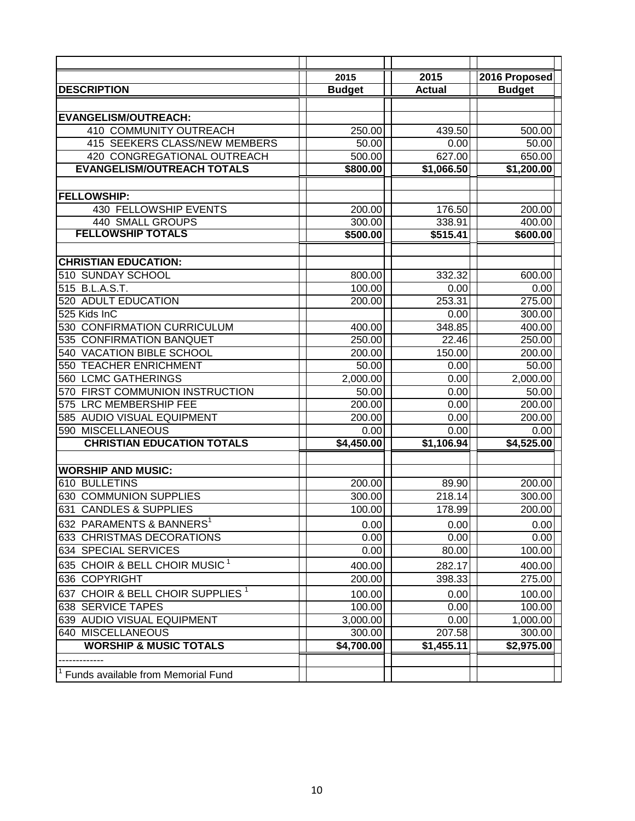|                                              | 2015          | 2015                | 2016 Proposed           |
|----------------------------------------------|---------------|---------------------|-------------------------|
| <b>DESCRIPTION</b>                           | <b>Budget</b> | <b>Actual</b>       | <b>Budget</b>           |
|                                              |               |                     |                         |
| <b>EVANGELISM/OUTREACH:</b>                  |               |                     |                         |
| 410 COMMUNITY OUTREACH                       | 250.00        | 439.50              | 500.00                  |
| 415 SEEKERS CLASS/NEW MEMBERS                | 50.00         | 0.00                | 50.00                   |
| 420 CONGREGATIONAL OUTREACH                  | 500.00        | 627.00              | 650.00                  |
| <b>EVANGELISM/OUTREACH TOTALS</b>            | \$800.00      | \$1,066.50          | $\overline{51}, 200.00$ |
|                                              |               |                     |                         |
| <b>FELLOWSHIP:</b>                           |               |                     |                         |
| 430 FELLOWSHIP EVENTS                        | 200.00        | 176.50              | 200.00                  |
| <b>440 SMALL GROUPS</b>                      | 300.00        | 338.91              | 400.00                  |
| <b>FELLOWSHIP TOTALS</b>                     | \$500.00      | \$515.41            | \$600.00                |
|                                              |               |                     |                         |
| <b>CHRISTIAN EDUCATION:</b>                  |               |                     |                         |
| 510 SUNDAY SCHOOL                            | 800.00        | 332.32              | 600.00                  |
| 515 B.L.A.S.T.                               | 100.00        | 0.00                | 0.00                    |
| 520 ADULT EDUCATION                          | 200.00        | 253.31              | 275.00                  |
| 525 Kids InC                                 |               | 0.00                | 300.00                  |
| <b>CONFIRMATION CURRICULUM</b><br>530        | 400.00        | 348.85              | 400.00                  |
| 535 CONFIRMATION BANQUET                     | 250.00        | $\overline{2}$ 2.46 | 250.00                  |
| <b>VACATION BIBLE SCHOOL</b><br>540          | 200.00        | 150.00              | 200.00                  |
| <b>TEACHER ENRICHMENT</b><br>550             | 50.00         | 0.00                | 50.00                   |
| <b>LCMC GATHERINGS</b><br>560                | 2,000.00      | 0.00                | 2,000.00                |
| FIRST COMMUNION INSTRUCTION<br>570           | 50.00         | 0.00                | 50.00                   |
| <b>LRC MEMBERSHIP FEE</b><br>575             | 200.00        | 0.00                | 200.00                  |
| 585 AUDIO VISUAL EQUIPMENT                   | 200.00        | 0.00                | 200.00                  |
| <b>MISCELLANEOUS</b><br>590                  | 0.00          | 0.00                | 0.00                    |
| <b>CHRISTIAN EDUCATION TOTALS</b>            | \$4,450.00    | \$1,106.94          | \$4,525.00              |
|                                              |               |                     |                         |
| <b>WORSHIP AND MUSIC:</b>                    |               |                     |                         |
| 610 BULLETINS                                | 200.00        | 89.90               | 200.00                  |
| <b>COMMUNION SUPPLIES</b><br>630             | 300.00        | 218.14              | 300.00                  |
| <b>CANDLES &amp; SUPPLIES</b><br>631         | 100.00        | 178.99              | 200.00                  |
| 632 PARAMENTS & BANNERS <sup>1</sup>         | 0.00          | 0.00                | 0.00                    |
| 633 CHRISTMAS DECORATIONS                    | 0.00          | 0.00                | 0.00                    |
| 634 SPECIAL SERVICES                         | 0.00          | 80.00               | 100.00                  |
| 635 CHOIR & BELL CHOIR MUSIC $^1$            | 400.00        | 282.17              | 400.00                  |
| 636 COPYRIGHT                                | 200.00        | 398.33              | 275.00                  |
| 637 CHOIR & BELL CHOIR SUPPLIES <sup>1</sup> | 100.00        | 0.00                | 100.00                  |
| 638 SERVICE TAPES                            | 100.00        | 0.00                | 100.00                  |
| 639 AUDIO VISUAL EQUIPMENT                   | 3,000.00      | 0.00                | 1,000.00                |
| 640 MISCELLANEOUS                            | 300.00        | 207.58              | 300.00                  |
| <b>WORSHIP &amp; MUSIC TOTALS</b>            | \$4,700.00    | \$1,455.11          | \$2,975.00              |
|                                              |               |                     |                         |
| Funds available from Memorial Fund           |               |                     |                         |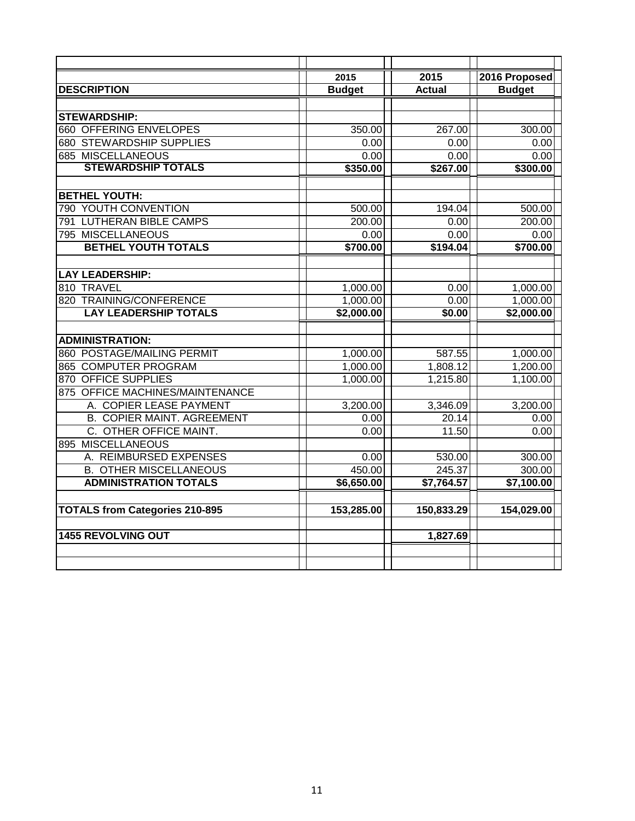|                                       | 2015          | 2015          | 2016 Proposed |
|---------------------------------------|---------------|---------------|---------------|
| <b>DESCRIPTION</b>                    | <b>Budget</b> | <b>Actual</b> | <b>Budget</b> |
|                                       |               |               |               |
| <b>STEWARDSHIP:</b>                   |               |               |               |
| <b>660 OFFERING ENVELOPES</b>         | 350.00        | 267.00        | 300.00        |
| <b>680 STEWARDSHIP SUPPLIES</b>       | 0.00          | 0.00          | 0.00          |
| <b>685 MISCELLANEOUS</b>              | 0.00          | 0.00          | 0.00          |
| <b>STEWARDSHIP TOTALS</b>             | \$350.00      | \$267.00      | \$300.00      |
|                                       |               |               |               |
| <b>BETHEL YOUTH:</b>                  |               |               |               |
| 790 YOUTH CONVENTION                  | 500.00        | 194.04        | 500.00        |
| 791 LUTHERAN BIBLE CAMPS              | 200.00        | 0.00          | 200.00        |
| 795 MISCELLANEOUS                     | 0.00          | 0.00          | 0.00          |
| <b>BETHEL YOUTH TOTALS</b>            | \$700.00      | \$194.04      | \$700.00      |
|                                       |               |               |               |
| <b>LAY LEADERSHIP:</b>                |               |               |               |
| 810 TRAVEL                            | 1,000.00      | 0.00          | 1,000.00      |
| 820 TRAINING/CONFERENCE               | 1,000.00      | 0.00          | 1,000.00      |
| <b>LAY LEADERSHIP TOTALS</b>          | \$2,000.00    | \$0.00        | \$2,000.00    |
|                                       |               |               |               |
| <b>ADMINISTRATION:</b>                |               |               |               |
| 860 POSTAGE/MAILING PERMIT            | 1,000.00      | 587.55        | 1,000.00      |
| 865 COMPUTER PROGRAM                  | 1,000.00      | 1,808.12      | 1,200.00      |
| 870 OFFICE SUPPLIES                   | 1,000.00      | 1,215.80      | 1,100.00      |
| 875 OFFICE MACHINES/MAINTENANCE       |               |               |               |
| A. COPIER LEASE PAYMENT               | 3,200.00      | 3,346.09      | 3,200.00      |
| <b>B. COPIER MAINT. AGREEMENT</b>     | 0.00          | 20.14         | 0.00          |
| C. OTHER OFFICE MAINT.                | 0.00          | 11.50         | 0.00          |
| <b>MISCELLANEOUS</b><br>895           |               |               |               |
| A. REIMBURSED EXPENSES                | 0.00          | 530.00        | 300.00        |
| <b>B. OTHER MISCELLANEOUS</b>         | 450.00        | 245.37        | 300.00        |
| <b>ADMINISTRATION TOTALS</b>          | \$6,650.00    | \$7,764.57    | \$7,100.00    |
|                                       |               |               |               |
| <b>TOTALS from Categories 210-895</b> | 153,285.00    | 150,833.29    | 154,029.00    |
|                                       |               |               |               |
| <b>1455 REVOLVING OUT</b>             |               | 1,827.69      |               |
|                                       |               |               |               |
|                                       |               |               |               |